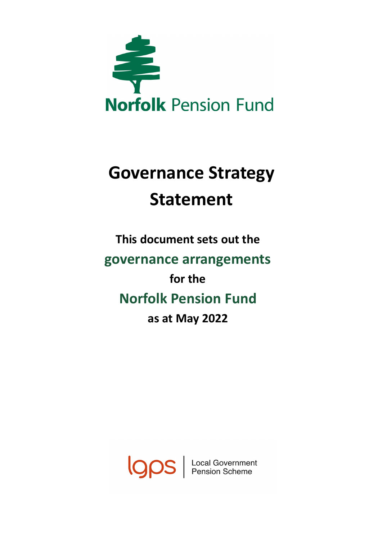

# **Governance Strategy Statement**

## **This document sets out the governance arrangements for the Norfolk Pension Fund as at May 2022**

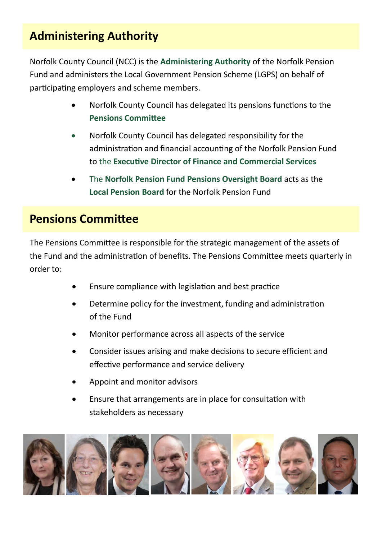### **Administering Authority**

Norfolk County Council (NCC) is the **Administering Authority** of the Norfolk Pension Fund and administers the Local Government Pension Scheme (LGPS) on behalf of participating employers and scheme members.

- Norfolk County Council has delegated its pensions functions to the **Pensions Committee**
- Norfolk County Council has delegated responsibility for the administration and financial accounting of the Norfolk Pension Fund to the **Executive Director of Finance and Commercial Services**
- The **Norfolk Pension Fund Pensions Oversight Board** acts as the **Local Pension Board** for the Norfolk Pension Fund

#### **Pensions Committee**

The Pensions Committee is responsible for the strategic management of the assets of the Fund and the administration of benefits. The Pensions Committee meets quarterly in order to:

- Ensure compliance with legislation and best practice
- Determine policy for the investment, funding and administration of the Fund
- Monitor performance across all aspects of the service
- Consider issues arising and make decisions to secure efficient and effective performance and service delivery
- Appoint and monitor advisors
- Ensure that arrangements are in place for consultation with stakeholders as necessary

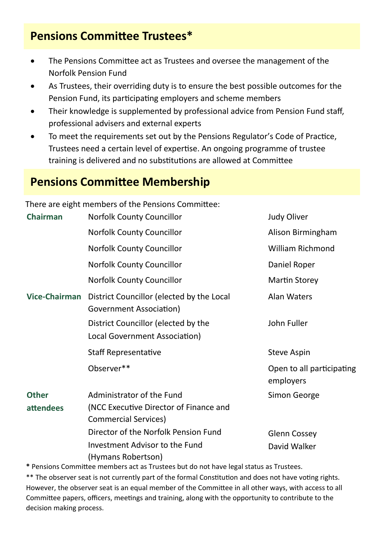### **Pensions Committee Trustees\***

- The Pensions Committee act as Trustees and oversee the management of the Norfolk Pension Fund
- As Trustees, their overriding duty is to ensure the best possible outcomes for the Pension Fund, its participating employers and scheme members
- Their knowledge is supplemented by professional advice from Pension Fund staff, professional advisers and external experts
- To meet the requirements set out by the Pensions Regulator's Code of Practice, Trustees need a certain level of expertise. An ongoing programme of trustee training is delivered and no substitutions are allowed at Committee

#### **Pensions Committee Membership**

There are eight members of the Pensions Committee:

| <b>Chairman</b>                  | <b>Norfolk County Councillor</b>                                                                   | <b>Judy Oliver</b>                     |
|----------------------------------|----------------------------------------------------------------------------------------------------|----------------------------------------|
|                                  | <b>Norfolk County Councillor</b>                                                                   | Alison Birmingham                      |
|                                  | <b>Norfolk County Councillor</b>                                                                   | <b>William Richmond</b>                |
|                                  | <b>Norfolk County Councillor</b>                                                                   | Daniel Roper                           |
|                                  | <b>Norfolk County Councillor</b>                                                                   | <b>Martin Storey</b>                   |
| <b>Vice-Chairman</b>             | District Councillor (elected by the Local<br>Government Association)                               | <b>Alan Waters</b>                     |
|                                  | District Councillor (elected by the<br>Local Government Association)                               | John Fuller                            |
|                                  | <b>Staff Representative</b>                                                                        | <b>Steve Aspin</b>                     |
|                                  | Observer**                                                                                         | Open to all participating<br>employers |
| <b>Other</b><br><b>attendees</b> | Administrator of the Fund<br>(NCC Executive Director of Finance and<br><b>Commercial Services)</b> | Simon George                           |
|                                  | Director of the Norfolk Pension Fund<br>Investment Advisor to the Fund<br>(Hymans Robertson)       | <b>Glenn Cossey</b><br>David Walker    |

**\*** Pensions Committee members act as Trustees but do not have legal status as Trustees.

\*\* The observer seat is not currently part of the formal Constitution and does not have voting rights. However, the observer seat is an equal member of the Committee in all other ways, with access to all Committee papers, officers, meetings and training, along with the opportunity to contribute to the decision making process.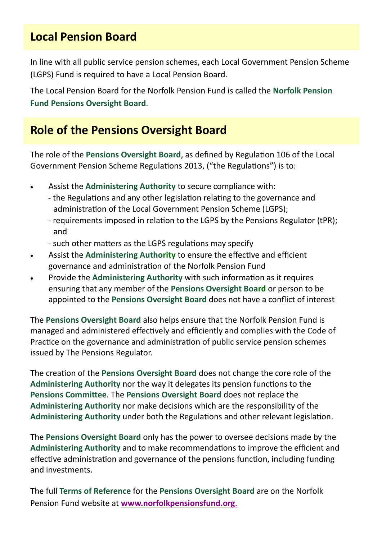#### **Local Pension Board**

In line with all public service pension schemes, each Local Government Pension Scheme (LGPS) Fund is required to have a Local Pension Board.

The Local Pension Board for the Norfolk Pension Fund is called the **Norfolk Pension Fund Pensions Oversight Board**.

#### **Role of the Pensions Oversight Board**

The role of the **Pensions Oversight Board**, as defined by Regulation 106 of the Local Government Pension Scheme Regulations 2013, ("the Regulations") is to:

- Assist the **Administering Authority** to secure compliance with:
	- the Regulations and any other legislation relating to the governance and administration of the Local Government Pension Scheme (LGPS);
	- requirements imposed in relation to the LGPS by the Pensions Regulator (tPR); and
	- such other matters as the LGPS regulations may specify
- Assist the **Administering Authority** to ensure the effective and efficient governance and administration of the Norfolk Pension Fund
- Provide the **Administering Authority** with such information as it requires ensuring that any member of the **Pensions Oversight Board** or person to be appointed to the **Pensions Oversight Board** does not have a conflict of interest

The **Pensions Oversight Board** also helps ensure that the Norfolk Pension Fund is managed and administered effectively and efficiently and complies with the Code of Practice on the governance and administration of public service pension schemes issued by The Pensions Regulator.

The creation of the **Pensions Oversight Board** does not change the core role of the **Administering Authority** nor the way it delegates its pension functions to the **Pensions Committee**. The **Pensions Oversight Board** does not replace the **Administering Authority** nor make decisions which are the responsibility of the **Administering Authority** under both the Regulations and other relevant legislation.

The **Pensions Oversight Board** only has the power to oversee decisions made by the **Administering Authority** and to make recommendations to improve the efficient and effective administration and governance of the pensions function, including funding and investments.

The full **Terms of Reference** for the **Pensions Oversight Board** are on the Norfolk Pension Fund website at **[www.norfolkpensionsfund.org](http://www.norfolkpensionfund.org/governance/local-pension-board/)**.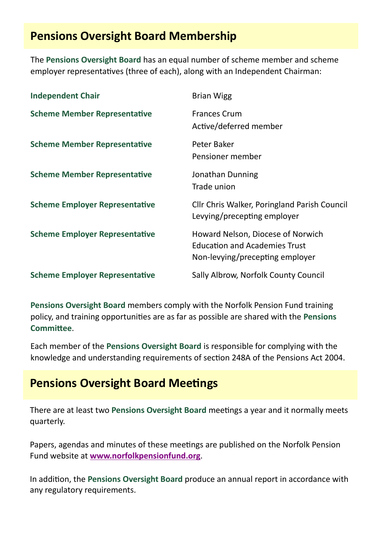### **Pensions Oversight Board Membership**

The **Pensions Oversight Board** has an equal number of scheme member and scheme employer representatives (three of each), along with an Independent Chairman:

| <b>Independent Chair</b>              | <b>Brian Wigg</b>                                                                                            |
|---------------------------------------|--------------------------------------------------------------------------------------------------------------|
| <b>Scheme Member Representative</b>   | <b>Frances Crum</b><br>Active/deferred member                                                                |
| <b>Scheme Member Representative</b>   | Peter Baker<br>Pensioner member                                                                              |
| <b>Scheme Member Representative</b>   | Jonathan Dunning<br>Trade union                                                                              |
| <b>Scheme Employer Representative</b> | Cllr Chris Walker, Poringland Parish Council<br>Levying/precepting employer                                  |
| <b>Scheme Employer Representative</b> | Howard Nelson, Diocese of Norwich<br><b>Education and Academies Trust</b><br>Non-levying/precepting employer |
| <b>Scheme Employer Representative</b> | Sally Albrow, Norfolk County Council                                                                         |

**Pensions Oversight Board** members comply with the Norfolk Pension Fund training policy, and training opportunities are as far as possible are shared with the **Pensions Committee**.

Each member of the **Pensions Oversight Board** is responsible for complying with the knowledge and understanding requirements of section 248A of the Pensions Act 2004.

#### **Pensions Oversight Board Meetings**

There are at least two **Pensions Oversight Board** meetings a year and it normally meets quarterly.

Papers, agendas and minutes of these meetings are published on the Norfolk Pension Fund website at **[www.norfolkpensionfund.org](http://www.norfolkpensionfund.org/governance/local-pension-board/)**.

In addition, the **Pensions Oversight Board** produce an annual report in accordance with any regulatory requirements.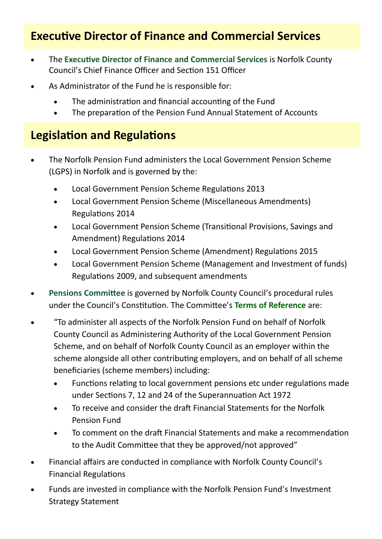### **Executive Director of Finance and Commercial Services**

- The **Executive Director of Finance and Commercial Services** is Norfolk County Council's Chief Finance Officer and Section 151 Officer
- As Administrator of the Fund he is responsible for:
	- The administration and financial accounting of the Fund
	- The preparation of the Pension Fund Annual Statement of Accounts

### **Legislation and Regulations**

- The Norfolk Pension Fund administers the Local Government Pension Scheme (LGPS) in Norfolk and is governed by the:
	- Local Government Pension Scheme Regulations 2013
	- Local Government Pension Scheme (Miscellaneous Amendments) Regulations 2014
	- Local Government Pension Scheme (Transitional Provisions, Savings and Amendment) Regulations 2014
	- Local Government Pension Scheme (Amendment) Regulations 2015
	- Local Government Pension Scheme (Management and Investment of funds) Regulations 2009, and subsequent amendments
- **Pensions Committee** is governed by Norfolk County Council's procedural rules under the Council's Constitution. The Committee's **Terms of Reference** are:
- "To administer all aspects of the Norfolk Pension Fund on behalf of Norfolk County Council as Administering Authority of the Local Government Pension Scheme, and on behalf of Norfolk County Council as an employer within the scheme alongside all other contributing employers, and on behalf of all scheme beneficiaries (scheme members) including:
	- Functions relating to local government pensions etc under regulations made under Sections 7, 12 and 24 of the Superannuation Act 1972
	- To receive and consider the draft Financial Statements for the Norfolk Pension Fund
	- To comment on the draft Financial Statements and make a recommendation to the Audit Committee that they be approved/not approved"
- Financial affairs are conducted in compliance with Norfolk County Council's Financial Regulations
- Funds are invested in compliance with the Norfolk Pension Fund's Investment Strategy Statement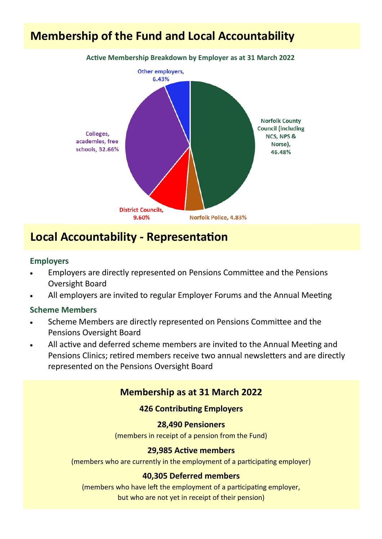### **Membership of the Fund and Local Accountability**



#### **Local Accountability - Representation**

#### **Employers**

- Employers are directly represented on Pensions Committee and the Pensions Oversight Board
- All employers are invited to regular Employer Forums and the Annual Meeting

#### **Scheme Members**

- Scheme Members are directly represented on Pensions Committee and the Pensions Oversight Board
- All active and deferred scheme members are invited to the Annual Meeting and Pensions Clinics; retired members receive two annual newsletters and are directly represented on the Pensions Oversight Board

#### **Membership as at 31 March 2022**

#### **426 Contributing Employers**

#### **28,490 Pensioners**

(members in receipt of a pension from the Fund)

#### **29,985 Active members**

(members who are currently in the employment of a participating employer)

#### **40,305 Deferred members**

(members who have left the employment of a participating employer,

but who are not yet in receipt of their pension)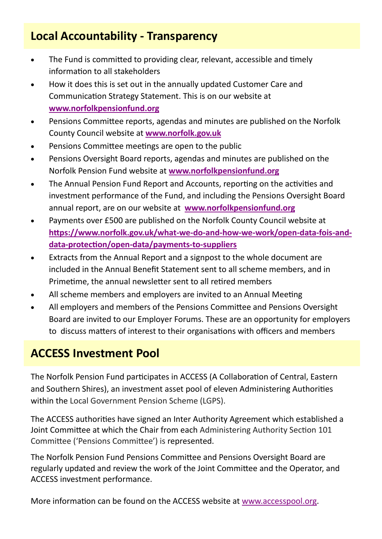### **Local Accountability - Transparency**

- The Fund is committed to providing clear, relevant, accessible and timely information to all stakeholders
- How it does this is set out in the annually updated Customer Care and Communication Strategy Statement. This is on our website at **[www.norfolkpensionfund.org](http://www.norfolkpensionfund.org/governance/keeping-you-informed/)**
- Pensions Committee reports, agendas and minutes are published on the Norfolk County Council website at **[www.norfolk.gov.uk](http://norfolkcc.cmis.uk.com/norfolkcc/Committees/tabid/62/ctl/ViewCMIS_CommitteeDetails/mid/381/id/30/Default.aspx)**
- Pensions Committee meetings are open to the public
- Pensions Oversight Board reports, agendas and minutes are published on the Norfolk Pension Fund website at **[www.norfolkpensionfund.org](http://www.norfolkpensionfund.org/governance/local-pension-board/)**
- The Annual Pension Fund Report and Accounts, reporting on the activities and investment performance of the Fund, and including the Pensions Oversight Board annual report, are on our website at **[www.norfolkpensionfund.org](http://www.norfolkpensionfund.org/governance/investment-and-stewardship/)**
- Payments over £500 are published on the Norfolk County Council website at **[https://www.norfolk.gov.uk/what](https://www.norfolk.gov.uk/what-we-do-and-how-we-work/open-data-fois-and-data-protection/open-data/payments-to-suppliers)-we-do-and-how-we-work/open-data-fois-anddata-[protection/open](https://www.norfolk.gov.uk/what-we-do-and-how-we-work/open-data-fois-and-data-protection/open-data/payments-to-suppliers)-data/payments-to-suppliers**
- Extracts from the Annual Report and a signpost to the whole document are included in the Annual Benefit Statement sent to all scheme members, and in Primetime, the annual newsletter sent to all retired members
- All scheme members and employers are invited to an Annual Meeting
- All employers and members of the Pensions Committee and Pensions Oversight Board are invited to our Employer Forums. These are an opportunity for employers to discuss matters of interest to their organisations with officers and members

#### **ACCESS Investment Pool**

The Norfolk Pension Fund participates in ACCESS (A Collaboration of Central, Eastern and Southern Shires), an investment asset pool of eleven Administering Authorities within the Local Government Pension Scheme (LGPS).

The ACCESS authorities have signed an [Inter Authority Agreement](http://www.accesspool.org/document/366) which established a Joint Committee at which the Chair from each Administering Authority Section 101 Committee ('Pensions Committee') is represented.

The Norfolk Pension Fund Pensions Committee and Pensions Oversight Board are regularly updated and review the work of the Joint Committee and the Operator, and ACCESS investment performance.

More information can be found on the ACCESS website at [www.accesspool.org.](https://www.accesspool.org/)